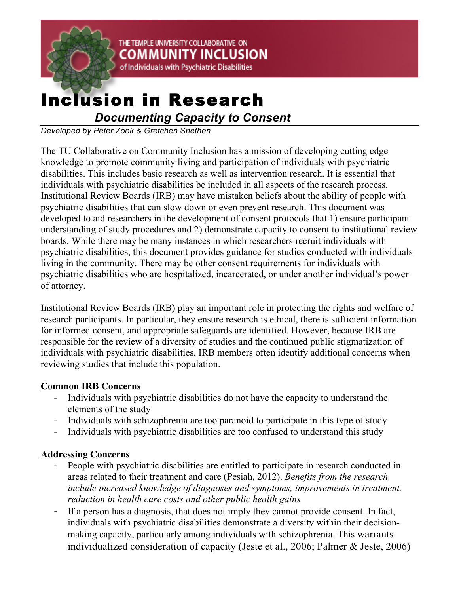

# Inclusion in Research

*Documenting Capacity to Consent*

THE TEMPLE UNIVERSITY COLLABORATIVE ON

**COMMUNITY INCLUSION** of Individuals with Psychiatric Disabilities

*Developed by Peter Zook & Gretchen Snethen*

The TU Collaborative on Community Inclusion has a mission of developing cutting edge knowledge to promote community living and participation of individuals with psychiatric disabilities. This includes basic research as well as intervention research. It is essential that individuals with psychiatric disabilities be included in all aspects of the research process. Institutional Review Boards (IRB) may have mistaken beliefs about the ability of people with psychiatric disabilities that can slow down or even prevent research. This document was developed to aid researchers in the development of consent protocols that 1) ensure participant understanding of study procedures and 2) demonstrate capacity to consent to institutional review boards. While there may be many instances in which researchers recruit individuals with psychiatric disabilities, this document provides guidance for studies conducted with individuals living in the community. There may be other consent requirements for individuals with psychiatric disabilities who are hospitalized, incarcerated, or under another individual's power of attorney.

Institutional Review Boards (IRB) play an important role in protecting the rights and welfare of research participants. In particular, they ensure research is ethical, there is sufficient information for informed consent, and appropriate safeguards are identified. However, because IRB are responsible for the review of a diversity of studies and the continued public stigmatization of individuals with psychiatric disabilities, IRB members often identify additional concerns when reviewing studies that include this population.

### **Common IRB Concerns**

- Individuals with psychiatric disabilities do not have the capacity to understand the elements of the study
- Individuals with schizophrenia are too paranoid to participate in this type of study
- Individuals with psychiatric disabilities are too confused to understand this study

### **Addressing Concerns**

- People with psychiatric disabilities are entitled to participate in research conducted in areas related to their treatment and care (Pesiah, 2012). *Benefits from the research include increased knowledge of diagnoses and symptoms, improvements in treatment, reduction in health care costs and other public health gains*
- If a person has a diagnosis, that does not imply they cannot provide consent. In fact, individuals with psychiatric disabilities demonstrate a diversity within their decisionmaking capacity, particularly among individuals with schizophrenia. This warrants individualized consideration of capacity (Jeste et al., 2006; Palmer & Jeste, 2006)